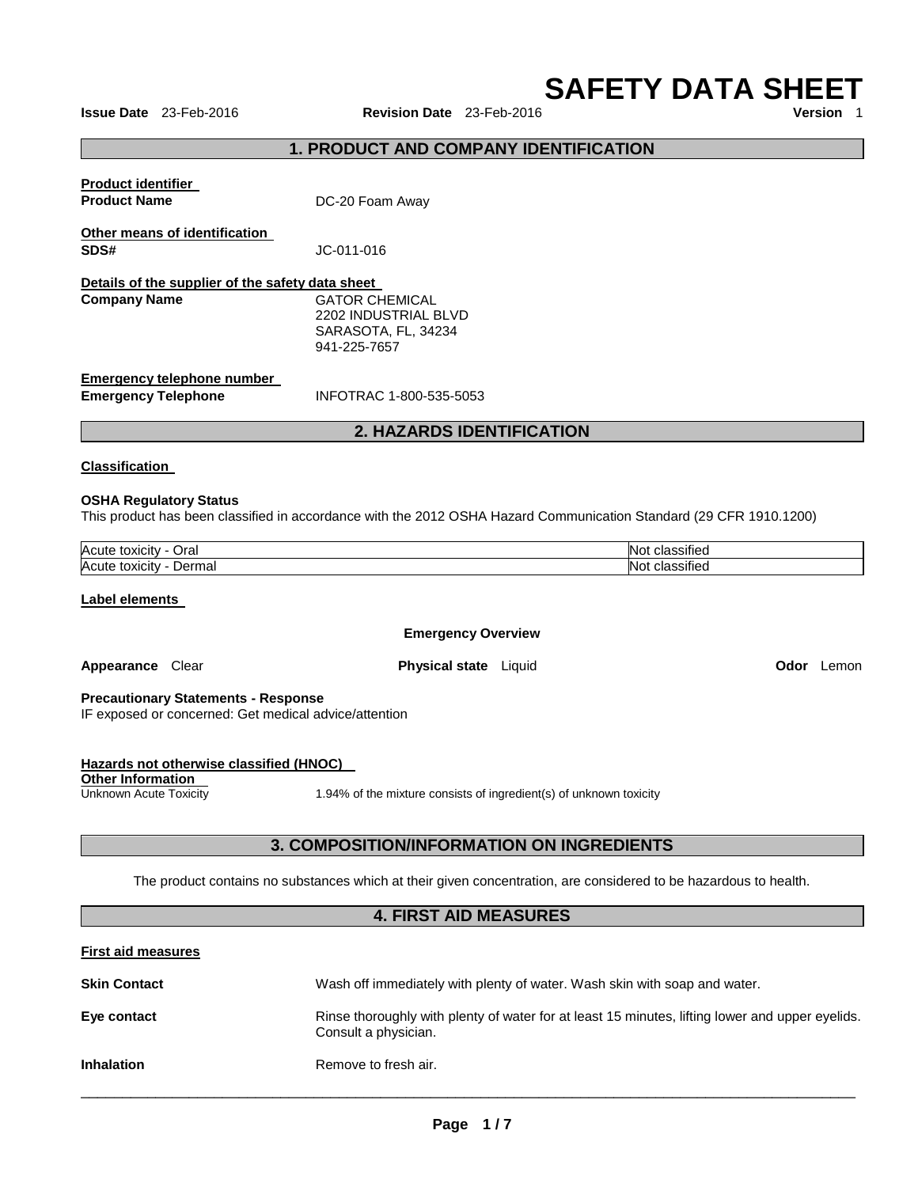**SAFETY DATA SHEET** 

**Issue Date** 23-Feb-2016 **Revision Date** 23-Feb-2016

## **1. PRODUCT AND COMPANY IDENTIFICATION**

| <b>Product identifier</b><br><b>Product Name</b>                        | DC-20 Foam Away                                                                      |
|-------------------------------------------------------------------------|--------------------------------------------------------------------------------------|
| Other means of identification<br>SDS#                                   | JC-011-016                                                                           |
| Details of the supplier of the safety data sheet<br><b>Company Name</b> | <b>GATOR CHEMICAL</b><br>2202 INDUSTRIAL BLVD<br>SARASOTA, FL, 34234<br>941-225-7657 |
| Emergency telephone number<br><b>Emergency Telephone</b>                | INFOTRAC 1-800-535-5053                                                              |

# **2. HAZARDS IDENTIFICATION**

#### **Classification**

#### **OSHA Regulatory Status**

This product has been classified in accordance with the 2012 OSHA Hazard Communication Standard (29 CFR 1910.1200)

| Acute<br>Oral<br>toxicit<br>''TV     | . .<br>. .<br>$\sim$<br>NO)<br>، ا د<br>11 J J |
|--------------------------------------|------------------------------------------------|
| Acute<br>Jerma<br>toxicity<br>Dermar | . .<br>.<br>~'<br>NO)<br>IGL                   |

#### **Label elements**

**Other Information** 

#### **Emergency Overview**

**Appearance** Clear **Physical state** Liquid **Odor** Lemon

#### **Precautionary Statements - Response**

**Hazards not otherwise classified (HNOC)** 

IF exposed or concerned: Get medical advice/attention

| Unknown Acute Toxicity | 1.94% of the mixture consists of ingredient(s) of unknown toxicity                                               |  |  |
|------------------------|------------------------------------------------------------------------------------------------------------------|--|--|
|                        |                                                                                                                  |  |  |
|                        | 3. COMPOSITION/INFORMATION ON INGREDIENTS                                                                        |  |  |
|                        | The product contains no substances which at their given concentration, are considered to be hazardous to health. |  |  |

#### **4. FIRST AID MEASURES**

| <b>First aid measures</b> |                                                                                                                         |
|---------------------------|-------------------------------------------------------------------------------------------------------------------------|
| <b>Skin Contact</b>       | Wash off immediately with plenty of water. Wash skin with soap and water.                                               |
| Eye contact               | Rinse thoroughly with plenty of water for at least 15 minutes, lifting lower and upper eyelids.<br>Consult a physician. |
| <b>Inhalation</b>         | Remove to fresh air.                                                                                                    |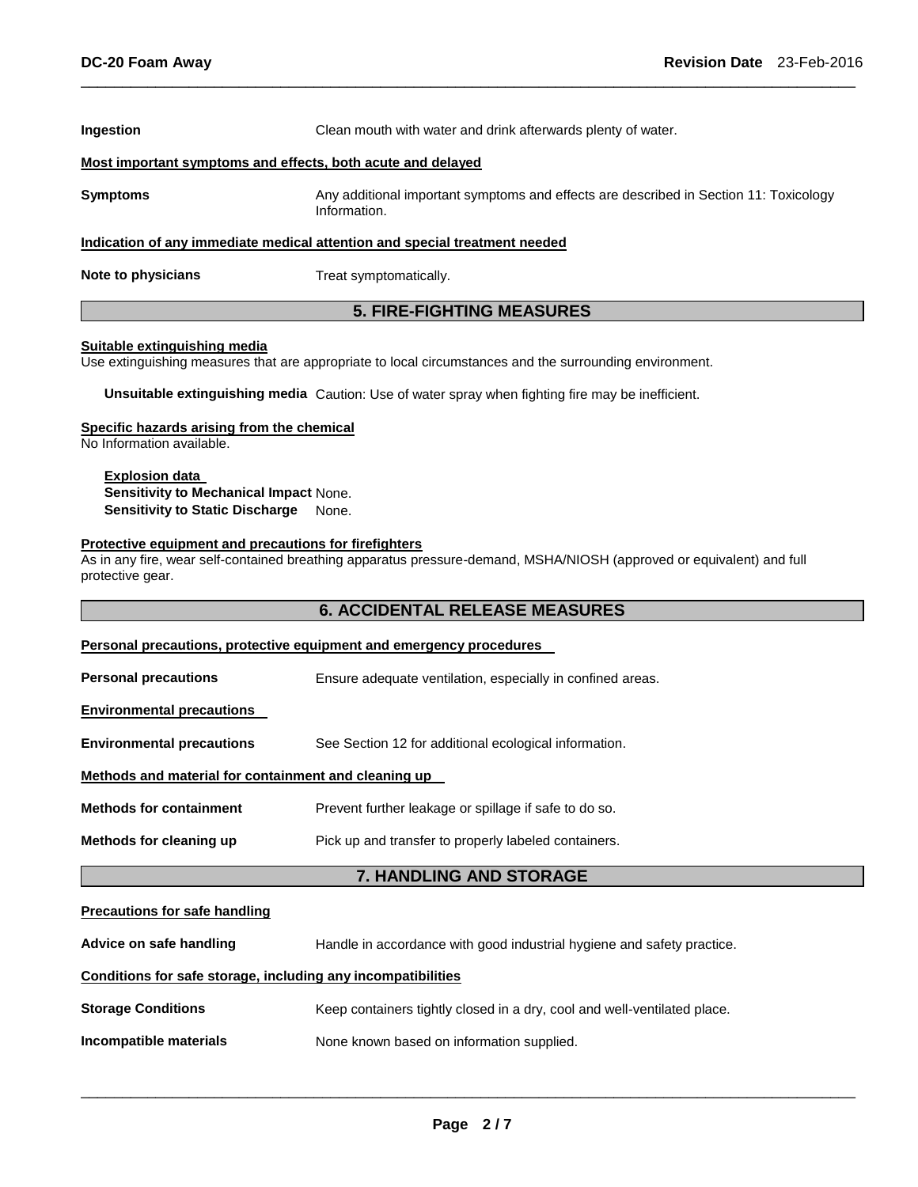| <b>Ingestion</b>                                                           | Clean mouth with water and drink afterwards plenty of water.                                          |  |  |
|----------------------------------------------------------------------------|-------------------------------------------------------------------------------------------------------|--|--|
| Most important symptoms and effects, both acute and delayed                |                                                                                                       |  |  |
| <b>Symptoms</b>                                                            | Any additional important symptoms and effects are described in Section 11: Toxicology<br>Information. |  |  |
| Indication of any immediate medical attention and special treatment needed |                                                                                                       |  |  |
| Note to physicians                                                         | Treat symptomatically.                                                                                |  |  |

\_\_\_\_\_\_\_\_\_\_\_\_\_\_\_\_\_\_\_\_\_\_\_\_\_\_\_\_\_\_\_\_\_\_\_\_\_\_\_\_\_\_\_\_\_\_\_\_\_\_\_\_\_\_\_\_\_\_\_\_\_\_\_\_\_\_\_\_\_\_\_\_\_\_\_\_\_\_\_\_\_\_\_\_\_\_\_\_\_\_\_\_\_

# **5. FIRE-FIGHTING MEASURES**

#### **Suitable extinguishing media**

Use extinguishing measures that are appropriate to local circumstances and the surrounding environment.

**Unsuitable extinguishing media** Caution: Use of water spray when fighting fire may be inefficient.

#### **Specific hazards arising from the chemical**

No Information available.

#### **Explosion data Sensitivity to Mechanical Impact** None. **Sensitivity to Static Discharge** None.

#### **Protective equipment and precautions for firefighters**

As in any fire, wear self-contained breathing apparatus pressure-demand, MSHA/NIOSH (approved or equivalent) and full protective gear.

# **6. ACCIDENTAL RELEASE MEASURES**

|                                                      | Personal precautions, protective equipment and emergency procedures    |  |  |  |  |
|------------------------------------------------------|------------------------------------------------------------------------|--|--|--|--|
| <b>Personal precautions</b>                          | Ensure adequate ventilation, especially in confined areas.             |  |  |  |  |
| <b>Environmental precautions</b>                     |                                                                        |  |  |  |  |
| <b>Environmental precautions</b>                     | See Section 12 for additional ecological information.                  |  |  |  |  |
| Methods and material for containment and cleaning up |                                                                        |  |  |  |  |
| <b>Methods for containment</b>                       | Prevent further leakage or spillage if safe to do so.                  |  |  |  |  |
| Methods for cleaning up                              | Pick up and transfer to properly labeled containers.                   |  |  |  |  |
| 7. HANDLING AND STORAGE                              |                                                                        |  |  |  |  |
| <b>Precautions for safe handling</b>                 |                                                                        |  |  |  |  |
| Advice on safe handling                              | Handle in accordance with good industrial hygiene and safety practice. |  |  |  |  |

# **Conditions for safe storage, including any incompatibilities**

# **Storage Conditions Keep containers tightly closed in a dry, cool and well-ventilated place.**

**Incompatible materials None known based on information supplied.**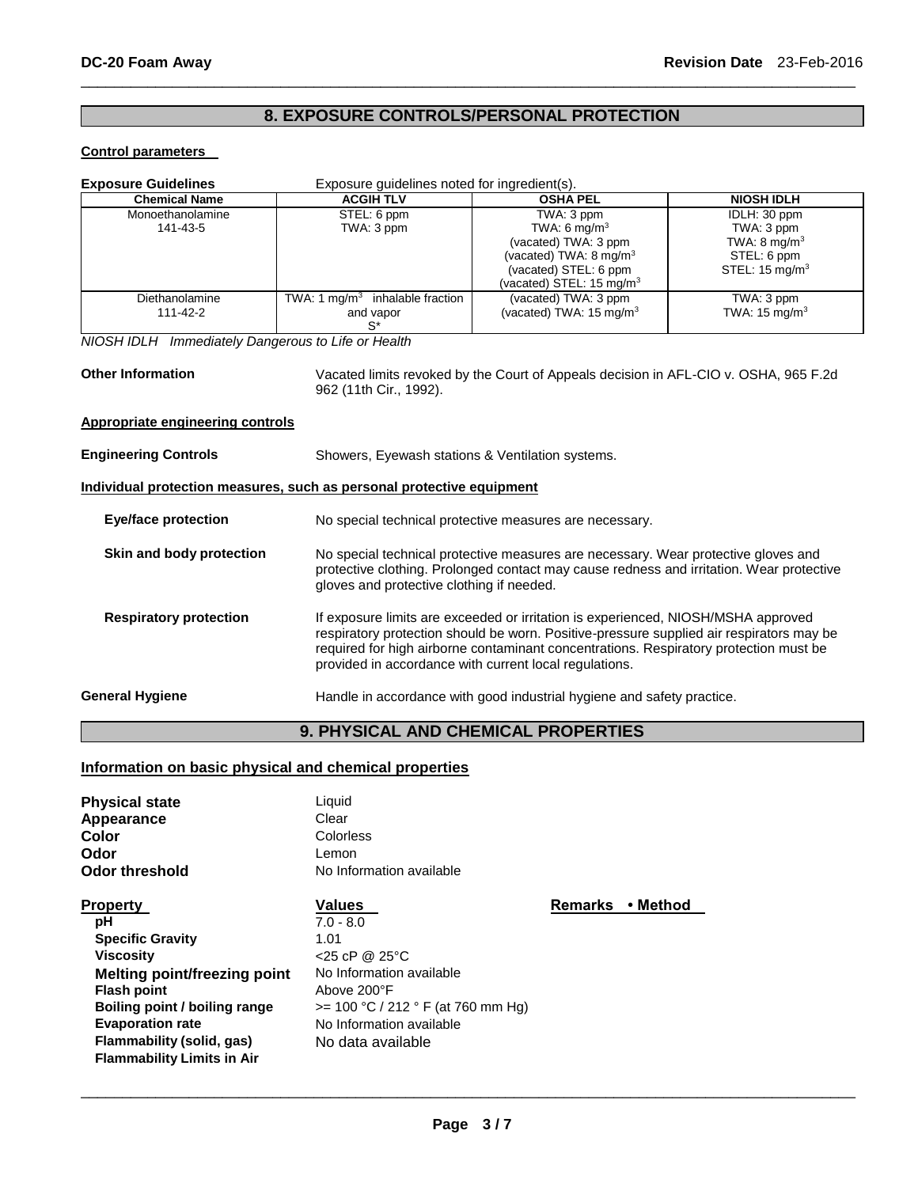# **8. EXPOSURE CONTROLS/PERSONAL PROTECTION**

\_\_\_\_\_\_\_\_\_\_\_\_\_\_\_\_\_\_\_\_\_\_\_\_\_\_\_\_\_\_\_\_\_\_\_\_\_\_\_\_\_\_\_\_\_\_\_\_\_\_\_\_\_\_\_\_\_\_\_\_\_\_\_\_\_\_\_\_\_\_\_\_\_\_\_\_\_\_\_\_\_\_\_\_\_\_\_\_\_\_\_\_\_

#### **Control parameters**

| <b>Exposure Guidelines</b><br>Exposure guidelines noted for ingredient(s).                                                                 |                                                                                                                                                                                                                                                                                                                                  |                                                                                                                                                                       |                                                                                                   |  |
|--------------------------------------------------------------------------------------------------------------------------------------------|----------------------------------------------------------------------------------------------------------------------------------------------------------------------------------------------------------------------------------------------------------------------------------------------------------------------------------|-----------------------------------------------------------------------------------------------------------------------------------------------------------------------|---------------------------------------------------------------------------------------------------|--|
| <b>Chemical Name</b>                                                                                                                       | <b>ACGIH TLV</b>                                                                                                                                                                                                                                                                                                                 | <b>OSHA PEL</b>                                                                                                                                                       | <b>NIOSH IDLH</b>                                                                                 |  |
| Monoethanolamine<br>141-43-5                                                                                                               | STEL: 6 ppm<br>TWA: 3 ppm                                                                                                                                                                                                                                                                                                        | TWA: 3 ppm<br>TWA: 6 mg/m <sup>3</sup><br>(vacated) TWA: 3 ppm<br>(vacated) TWA: 8 mg/m <sup>3</sup><br>(vacated) STEL: 6 ppm<br>(vacated) STEL: 15 mg/m <sup>3</sup> | IDLH: 30 ppm<br>TWA: 3 ppm<br>TWA: $8 \text{ mg/m}^3$<br>STEL: 6 ppm<br>STEL: $15 \text{ mg/m}^3$ |  |
| Diethanolamine<br>111-42-2                                                                                                                 | TWA: 1 $mq/m3$ inhalable fraction<br>and vapor<br>$S^*$                                                                                                                                                                                                                                                                          | (vacated) TWA: 3 ppm<br>(vacated) TWA: $15 \text{ mg/m}^3$                                                                                                            | TWA: 3 ppm<br>TWA: $15 \text{ mg/m}^3$                                                            |  |
| NIOSH IDLH Immediately Dangerous to Life or Health                                                                                         |                                                                                                                                                                                                                                                                                                                                  |                                                                                                                                                                       |                                                                                                   |  |
| <b>Other Information</b><br>Vacated limits revoked by the Court of Appeals decision in AFL-CIO v. OSHA, 965 F.2d<br>962 (11th Cir., 1992). |                                                                                                                                                                                                                                                                                                                                  |                                                                                                                                                                       |                                                                                                   |  |
| <b>Appropriate engineering controls</b>                                                                                                    |                                                                                                                                                                                                                                                                                                                                  |                                                                                                                                                                       |                                                                                                   |  |
| <b>Engineering Controls</b>                                                                                                                | Showers, Eyewash stations & Ventilation systems.                                                                                                                                                                                                                                                                                 |                                                                                                                                                                       |                                                                                                   |  |
| Individual protection measures, such as personal protective equipment                                                                      |                                                                                                                                                                                                                                                                                                                                  |                                                                                                                                                                       |                                                                                                   |  |
| <b>Eye/face protection</b>                                                                                                                 | No special technical protective measures are necessary.                                                                                                                                                                                                                                                                          |                                                                                                                                                                       |                                                                                                   |  |
| Skin and body protection                                                                                                                   | No special technical protective measures are necessary. Wear protective gloves and<br>protective clothing. Prolonged contact may cause redness and irritation. Wear protective<br>gloves and protective clothing if needed.                                                                                                      |                                                                                                                                                                       |                                                                                                   |  |
| <b>Respiratory protection</b>                                                                                                              | If exposure limits are exceeded or irritation is experienced, NIOSH/MSHA approved<br>respiratory protection should be worn. Positive-pressure supplied air respirators may be<br>required for high airborne contaminant concentrations. Respiratory protection must be<br>provided in accordance with current local regulations. |                                                                                                                                                                       |                                                                                                   |  |
| <b>General Hygiene</b>                                                                                                                     | Handle in accordance with good industrial hygiene and safety practice.                                                                                                                                                                                                                                                           |                                                                                                                                                                       |                                                                                                   |  |
|                                                                                                                                            | <b>9. PHYSICAL AND CHEMICAL PROPERTIES</b>                                                                                                                                                                                                                                                                                       |                                                                                                                                                                       |                                                                                                   |  |

# **Information on basic physical and chemical properties**

| <b>Physical state</b>               | Liquid                              |                |          |
|-------------------------------------|-------------------------------------|----------------|----------|
| Appearance                          | Clear                               |                |          |
| Color                               | Colorless                           |                |          |
| Odor                                | Lemon                               |                |          |
| <b>Odor threshold</b>               | No Information available            |                |          |
| <b>Property</b>                     | <b>Values</b>                       | <b>Remarks</b> | • Method |
| рH                                  | $7.0 - 8.0$                         |                |          |
| <b>Specific Gravity</b>             | 1.01                                |                |          |
| <b>Viscosity</b>                    | $<$ 25 cP @ 25 °C                   |                |          |
| <b>Melting point/freezing point</b> | No Information available            |                |          |
| <b>Flash point</b>                  | Above 200°F                         |                |          |
| Boiling point / boiling range       | $>= 100 °C / 212 °F$ (at 760 mm Hg) |                |          |
| <b>Evaporation rate</b>             | No Information available            |                |          |
| Flammability (solid, gas)           | No data available                   |                |          |
| <b>Flammability Limits in Air</b>   |                                     |                |          |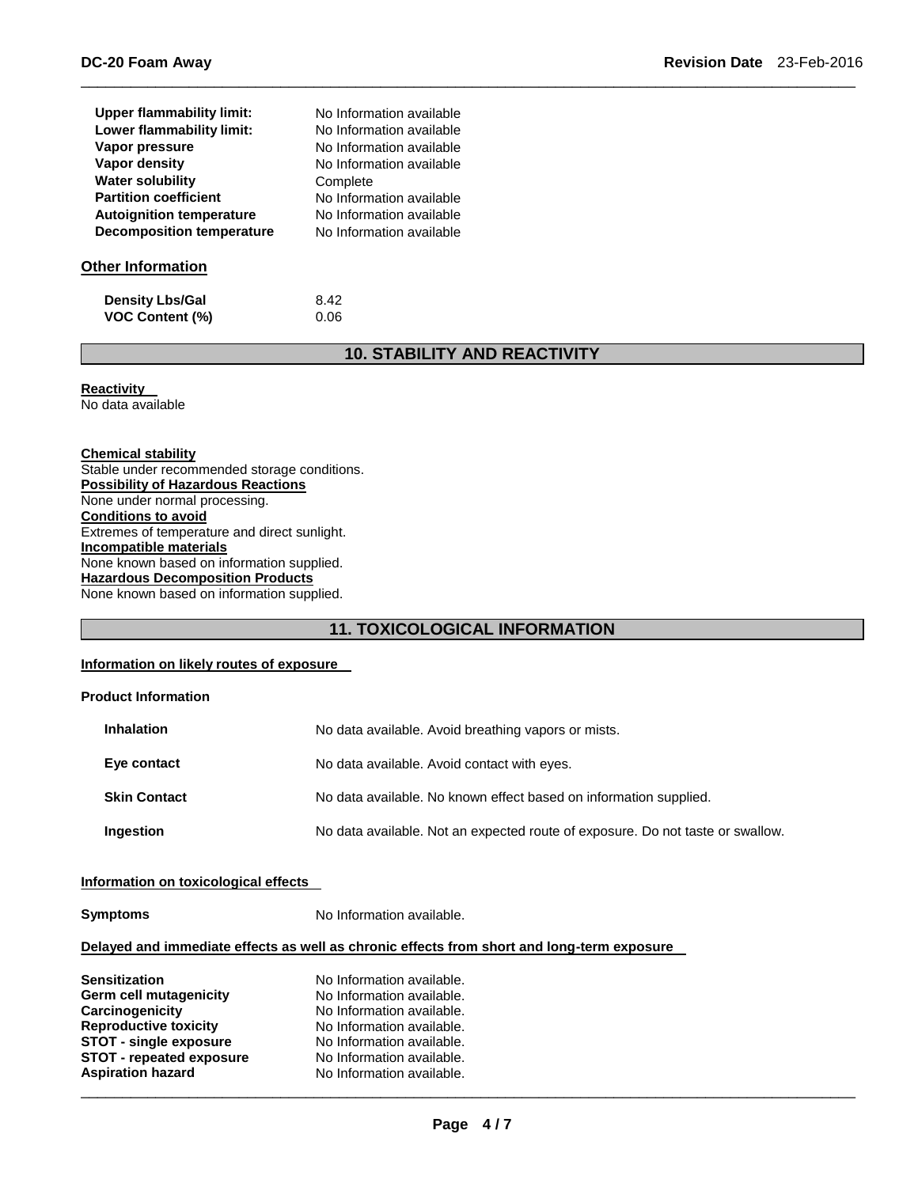| <b>Upper flammability limit:</b> | No Information available |
|----------------------------------|--------------------------|
| Lower flammability limit:        | No Information available |
| Vapor pressure                   | No Information available |
| Vapor density                    | No Information available |
| <b>Water solubility</b>          | Complete                 |
| <b>Partition coefficient</b>     | No Information available |
| <b>Autoignition temperature</b>  | No Information available |
| <b>Decomposition temperature</b> | No Information available |
| <b>Other Information</b>         |                          |
| <b>Density Lbs/Gal</b>           | 8.42                     |

# **10. STABILITY AND REACTIVITY**

\_\_\_\_\_\_\_\_\_\_\_\_\_\_\_\_\_\_\_\_\_\_\_\_\_\_\_\_\_\_\_\_\_\_\_\_\_\_\_\_\_\_\_\_\_\_\_\_\_\_\_\_\_\_\_\_\_\_\_\_\_\_\_\_\_\_\_\_\_\_\_\_\_\_\_\_\_\_\_\_\_\_\_\_\_\_\_\_\_\_\_\_\_

**Reactivity** 

No data available

#### **Chemical stability**

Stable under recommended storage conditions. **Possibility of Hazardous Reactions** None under normal processing. **Conditions to avoid** Extremes of temperature and direct sunlight. **Incompatible materials** None known based on information supplied. **Hazardous Decomposition Products** None known based on information supplied.

**VOC Content (%)** 0.06

# **11. TOXICOLOGICAL INFORMATION**

### **Information on likely routes of exposure**

#### **Product Information**

| <b>Inhalation</b>   | No data available. Avoid breathing vapors or mists.                            |
|---------------------|--------------------------------------------------------------------------------|
| Eye contact         | No data available. Avoid contact with eyes.                                    |
| <b>Skin Contact</b> | No data available. No known effect based on information supplied.              |
| Ingestion           | No data available. Not an expected route of exposure. Do not taste or swallow. |

#### **Information on toxicological effects**

**Symptoms** No Information available.

#### **Delayed and immediate effects as well as chronic effects from short and long-term exposure**

| <b>Sensitization</b>            | No Information available. |
|---------------------------------|---------------------------|
| Germ cell mutagenicity          | No Information available. |
| Carcinogenicity                 | No Information available. |
| <b>Reproductive toxicity</b>    | No Information available. |
| <b>STOT - single exposure</b>   | No Information available. |
| <b>STOT - repeated exposure</b> | No Information available. |
| <b>Aspiration hazard</b>        | No Information available. |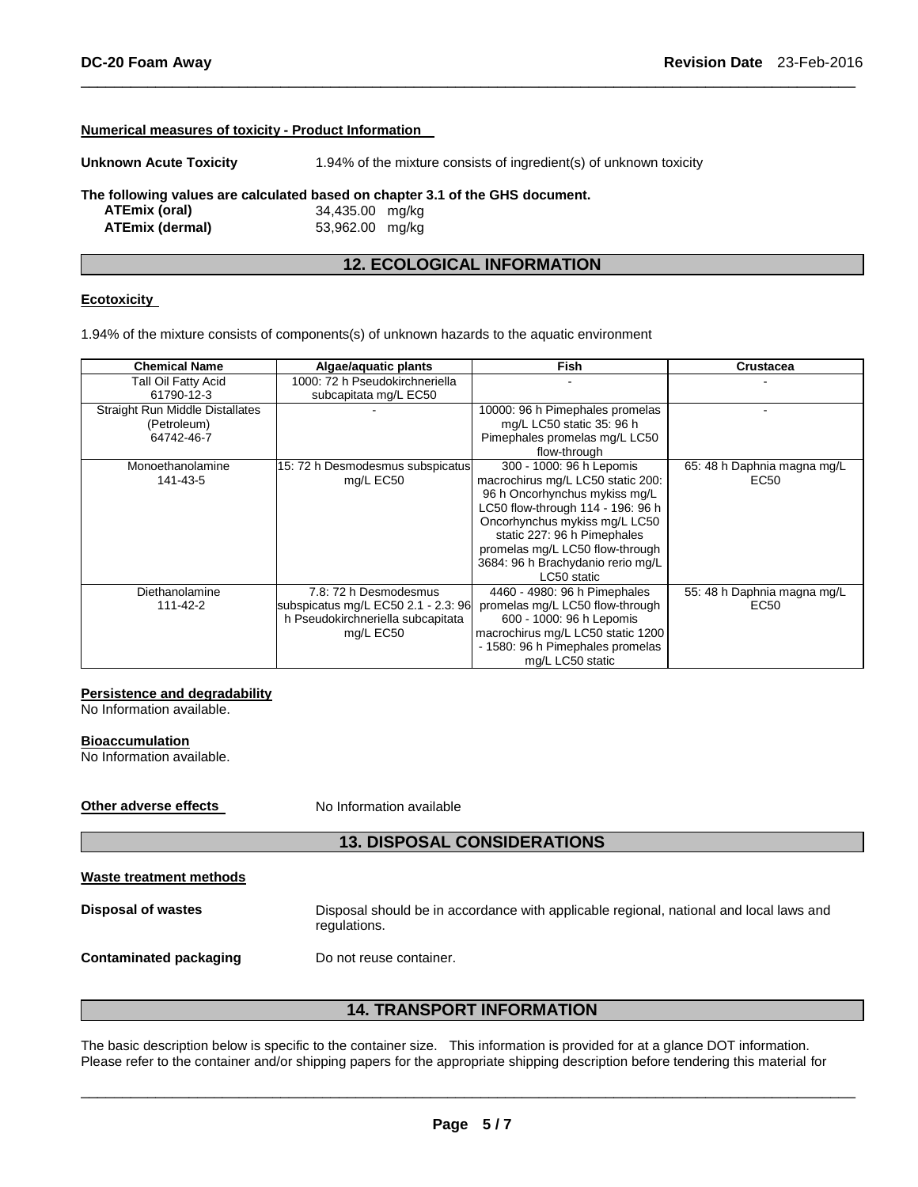#### **Numerical measures of toxicity - Product Information**

**Unknown Acute Toxicity** 1.94% of the mixture consists of ingredient(s) of unknown toxicity **The following values are calculated based on chapter 3.1 of the GHS document. ATEmix (oral)** 34,435.00 mg/kg **ATEmix (dermal)** 53,962.00 mg/kg

# **12. ECOLOGICAL INFORMATION**

\_\_\_\_\_\_\_\_\_\_\_\_\_\_\_\_\_\_\_\_\_\_\_\_\_\_\_\_\_\_\_\_\_\_\_\_\_\_\_\_\_\_\_\_\_\_\_\_\_\_\_\_\_\_\_\_\_\_\_\_\_\_\_\_\_\_\_\_\_\_\_\_\_\_\_\_\_\_\_\_\_\_\_\_\_\_\_\_\_\_\_\_\_

#### **Ecotoxicity**

1.94% of the mixture consists of components(s) of unknown hazards to the aquatic environment

| <b>Chemical Name</b>                   | Algae/aquatic plants                | <b>Fish</b>                       | <b>Crustacea</b>            |
|----------------------------------------|-------------------------------------|-----------------------------------|-----------------------------|
| Tall Oil Fatty Acid                    | 1000: 72 h Pseudokirchneriella      |                                   |                             |
| 61790-12-3                             | subcapitata mg/L EC50               |                                   |                             |
| <b>Straight Run Middle Distallates</b> |                                     | 10000: 96 h Pimephales promelas   |                             |
| (Petroleum)                            |                                     | mg/L LC50 static 35: 96 h         |                             |
| 64742-46-7                             |                                     | Pimephales promelas mg/L LC50     |                             |
|                                        |                                     | flow-through                      |                             |
| Monoethanolamine                       | 15: 72 h Desmodesmus subspicatus    | 300 - 1000: 96 h Lepomis          | 65: 48 h Daphnia magna mg/L |
| 141-43-5                               | mg/L EC50                           | macrochirus mg/L LC50 static 200: | EC50                        |
|                                        |                                     | 96 h Oncorhynchus mykiss mg/L     |                             |
|                                        |                                     | LC50 flow-through 114 - 196: 96 h |                             |
|                                        |                                     | Oncorhynchus mykiss mg/L LC50     |                             |
|                                        |                                     | static 227: 96 h Pimephales       |                             |
|                                        |                                     | promelas mg/L LC50 flow-through   |                             |
|                                        |                                     | 3684: 96 h Brachydanio rerio mg/L |                             |
|                                        |                                     | LC50 static                       |                             |
| Diethanolamine                         | 7.8: 72 h Desmodesmus               | 4460 - 4980: 96 h Pimephales      | 55: 48 h Daphnia magna mg/L |
| 111-42-2                               | subspicatus mg/L EC50 2.1 - 2.3: 96 | promelas mg/L LC50 flow-through   | EC50                        |
|                                        | h Pseudokirchneriella subcapitata   | 600 - 1000: 96 h Lepomis          |                             |
|                                        | mg/L EC50                           | macrochirus mg/L LC50 static 1200 |                             |
|                                        |                                     | - 1580: 96 h Pimephales promelas  |                             |
|                                        |                                     | mg/L LC50 static                  |                             |

#### **Persistence and degradability**

No Information available.

#### **Bioaccumulation**

No Information available.

**Other adverse effects** No Information available

# **13. DISPOSAL CONSIDERATIONS**

```
Waste treatment methods
```
**Disposal of wastes** Disposal should be in accordance with applicable regional, national and local laws and regulations.

**Contaminated packaging by Do not reuse container.** 

# **14. TRANSPORT INFORMATION**

The basic description below is specific to the container size. This information is provided for at a glance DOT information. Please refer to the container and/or shipping papers for the appropriate shipping description before tendering this material for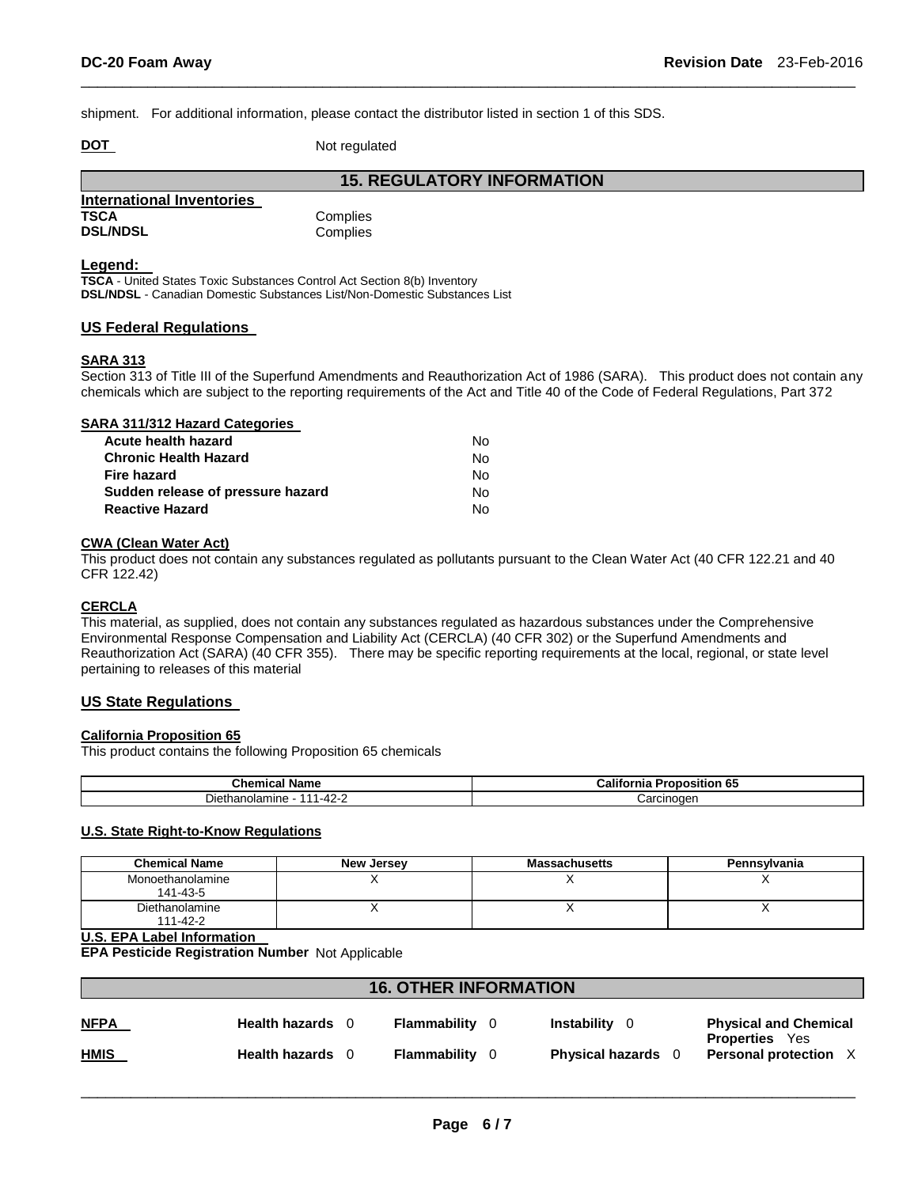shipment. For additional information, please contact the distributor listed in section 1 of this SDS.

**DOT** Not regulated

|                           | <b>15. REGULATORY INFORMATION</b> |
|---------------------------|-----------------------------------|
| International Inventories |                                   |
| <b>TSCA</b>               | Complies                          |
| <b>DSL/NDSL</b>           | Complies                          |

#### **Legend:**

**TSCA** - United States Toxic Substances Control Act Section 8(b) Inventory **DSL/NDSL** - Canadian Domestic Substances List/Non-Domestic Substances List

#### **US Federal Regulations**

#### **SARA 313**

Section 313 of Title III of the Superfund Amendments and Reauthorization Act of 1986 (SARA). This product does not contain any chemicals which are subject to the reporting requirements of the Act and Title 40 of the Code of Federal Regulations, Part 372

\_\_\_\_\_\_\_\_\_\_\_\_\_\_\_\_\_\_\_\_\_\_\_\_\_\_\_\_\_\_\_\_\_\_\_\_\_\_\_\_\_\_\_\_\_\_\_\_\_\_\_\_\_\_\_\_\_\_\_\_\_\_\_\_\_\_\_\_\_\_\_\_\_\_\_\_\_\_\_\_\_\_\_\_\_\_\_\_\_\_\_\_\_

| SARA 311/312 Hazard Categories    |    |
|-----------------------------------|----|
| Acute health hazard               | Nο |
| <b>Chronic Health Hazard</b>      | Nο |
| Fire hazard                       | Nο |
| Sudden release of pressure hazard | Nο |
| <b>Reactive Hazard</b>            | N٥ |

#### **CWA (Clean Water Act)**

This product does not contain any substances regulated as pollutants pursuant to the Clean Water Act (40 CFR 122.21 and 40 CFR 122.42)

#### **CERCLA**

This material, as supplied, does not contain any substances regulated as hazardous substances under the Comprehensive Environmental Response Compensation and Liability Act (CERCLA) (40 CFR 302) or the Superfund Amendments and Reauthorization Act (SARA) (40 CFR 355). There may be specific reporting requirements at the local, regional, or state level pertaining to releases of this material

### **US State Regulations**

#### **California Proposition 65**

This product contains the following Proposition 65 chemicals

| <b>Chemical Name</b>                                | ا California<br><b>Dran</b><br>Proposition 65 |
|-----------------------------------------------------|-----------------------------------------------|
| ietha ∪<br><u>າດ</u><br>olamıne،<br>$1 - 4$<br>74 L | ∴arcinoαer                                    |

#### **U.S. State Right-to-Know Regulations**

| <b>Chemical Name</b>         | New Jersey | <b>Massachusetts</b> | Pennsylvania |
|------------------------------|------------|----------------------|--------------|
| Monoethanolamine<br>141-43-5 |            |                      |              |
| Diethanolamine<br>111-42-2   |            |                      |              |

#### **U.S. EPA Label Information**

**EPA Pesticide Registration Number** Not Applicable

| <b>16. OTHER INFORMATION</b> |                  |  |              |                                |                                                       |
|------------------------------|------------------|--|--------------|--------------------------------|-------------------------------------------------------|
| <u>NFPA</u>                  | Health hazards 0 |  | Flammability | <b>Instability</b><br>$\Omega$ | <b>Physical and Chemical</b><br><b>Properties</b> Yes |
| <u>HMIS</u>                  | Health hazards 0 |  | Flammability | <b>Physical hazards</b> 0      | <b>Personal protection</b>                            |